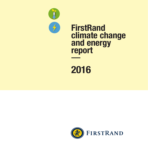

# **FirstRand** climate change and energy report

## 2015 2016

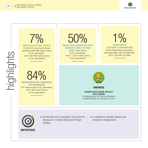

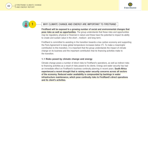



## WHY CLIMATE CHANGE AND ENERGY ARE IMPORTANT TO FIRSTRAND

FirstRand will be exposed to a growing number of social and environmental changes that pose risks as well as opportunities. The group understands that these risks and opportunities may be regulatory, physical or financial in nature and these have the potential to impact its ability to create and sustain value in the short-, medium- and long-term.

FirstRand is committed to assisting in the transition towards a low-carbon economy and supporting the Paris Agreement to keep global temperature increases below 2° C. To make a meaningful contribution to this transition, it is important that the group understands the impact of climate change on its business and the important contribution that its financing activities make to the transition.

## 1.1 Risks posed by climate change and energy

Climate change poses a number of direct risks to FirstRand's operations, as well as indirect risks to financing activities as a result of risks posed to its clients. Energy and water security has had an immediate effect on FirstRand's business continuity planning in recent years. South Africa experienced a recent drought that is raising water security concerns across all sectors of the economy. Reduced water availability is compounded by backlogs in water infrastructure maintenance, which pose continuity risks to FirstRand's direct operations and its client's activities.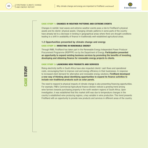

#### CASE STUDY 1: CHANGES IN WEATHER PATTERNS AND EXTREME EVENTS

Changes in rainfall, heat waves and extreme weather events pose a risk to FirstRand's physical assets and its clients' physical assets. Changing climatic patterns in some parts of the country have already led to a decrease in lending in geographical areas where there are drought conditions leading to a shift in availability of finance in traditionally well-established agricultural areas.

## 1.2 Opportunities presented by climate change and energy

#### CASE STUDY 2: INVESTING IN RENEWABLE ENERGY

Through RMB, FirstRand has taken part in the Renewable Energy Independent Power Producer Procurement Programme (REIPPPP) run by the Department of Energy. Participation presented an opportunity to expand existing business services by promoting the benefits of investing, developing and obtaining finance for renewable energy projects to clients.

#### CASE STUDY 3: LAUNCHING NEW PRODUCTS AND SERVICES

Rising electricity tariffs in South Africa have also impacted clients' cash flows and operational costs, encouraging them to improve cost and energy efficiency in their businesses. In response to increased client demand for alternative and renewable energy solutions, FirstRand developed a new way of thinking about identifying opportunities to expand its finance activities to include non-traditional products such as solar panels.

The need to respond to physical impacts of climate change is also presenting financing opportunities. For example, FNB's Commercial Agricultural finance division noticed a growing trend among wine farmers towards purchasing property in the north western regions of South Africa. Upon investigation, it was established that this market shift was due to temperature changes in the country's established wine producing regions, a key variable in wine production. This trend presents FirstRand with an opportunity to provide new products and services in different areas of the country.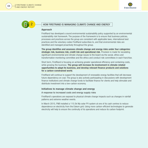



## 2 HOW FIRSTRAND IS MANAGING CLIMATE CHANGE AND ENERGY

## Approach

FirstRand has developed a sound environmental sustainability policy supported by an environmental sustainability risk framework. The purpose of the framework is to ensure that business policies, processes and practices across the group are consistent with applicable laws, international best practices and the voluntary codes FirstRand subscribes to, and that environmental risks are identified and managed proactively throughout the group.

The group identifies and assesses climate change and energy risks under four categories: strategic risk, business risk, credit risk and operational risk. Provision is made for escalating significant environmental and climate change issues to the board via the social, ethics and transformation monitoring committee and the ethics and conduct risk committees in each franchise.

Short term, FirstRand is focusing on achieving greater operational efficiency and containing costs, while growing the business. The group will increase its involvement in climate-related opportunities to adapt its business, and develop relevant finance products and solutions for a carbon-constrained world.

FirstRand will continue to support the development of renewable energy facilities that will decrease future dependency on coal. The group is also actively participating in discussions with development finance institutions and climate change funds to facilitate finance for clients and help stimulate and distribute investment into a low-carbon economy.

## Initiatives to manage climate change and energy

## A response to increased costs and energy supply risks

FirstRand's operations are exposed to physical climate change impacts such as changes in rainfall patterns and extreme weather events.

In March 2015, FNB installed a 115.5k Wp solar PV system at one of its cash centres to reduce dependence on electricity from the Eskom grid. Using more carbon-efficient technologies to generate electricity will help to ensure the continuity of its operations and reduce its carbon footprint.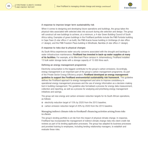

#### A response to improve longer term sustainability risk

When it comes to designing and developing future operations and buildings, the group takes the physical risks associated with selected sites into account during site selection and design. The group will construct all new buildings to achieve, at a minimum, a 4-star Green Building Council of South Africa rating. Examples of green buildings in the FirstRand portfolio include the FNB Portside building in Cape Town (5-star office v1 as built); the FNB Acacia house building in Umhlanga (4-star office v1 design); and the FNB Freedom Plaza building in Windhoek, Namibia (4-star office v1 design).

#### A response to risks due to physical changes

As South Africa experiences water security concerns associated with the drought and backlogs in water infrastructure maintenance, FirstRand has invested in back-up water supplies at many of its facilities. For example, at its Merchant Place campus in Johannesburg, FirstRand installed 13 bulk water storage tanks with a storage capacity of 15 000 litres each.

#### Defining an energy management programme

Electricity consumption is the biggest contributor to the group's carbon emissions. Accordingly, energy management is an important part of the group's carbon management programme. As part of the Private Sector Energy Efficiency project, FirstRand developed an energy management guideline to support the FirstRand environmental sustainability risk framework. This guideline defines the FirstRand approach to energy management and aims to improve consistency in operational energy management processes and the use of energy information as a decision-making tool in building management. The guideline also formalised a process for energy data measurement, collection and reporting, as well as a process for analysing and prioritising energy management initiatives and savings.

The group set new energy and carbon emission reduction targets for its South African operations, as follows:

- $\odot$  electricity reduction target of 15% by 2020 from the 2015 baseline;
- $\odot$  carbon emission reduction target of 20% by 2020 from the 2015 baseline.

#### Managing indirect climate risks to FirstRand's financing activities arising from risks to clients

The group's lending portfolio is at risk from the impact of physical climate change. In response, FirstRand has incorporated the management of indirect climate change risks into client credit risk reviews as part of its lending application processes. The group has adapted its business processes and provided training to employees, including lending relationship managers, to establish and evaluate these risks.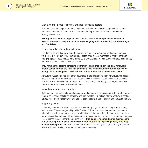



#### Mitigating the impact of physical changes in specific sectors

FNB monitors changing climate conditions and the impact on individuals, agriculture, fisheries and small industries. This equips it to determine the implications of climate change on its lending relationships.

## FNB Agriculture Finance engages with selected insurance companies on a biannual basis to ensure that they are aware of high-risk geographical areas impacted by drought and flood risks.

#### Energy security risks and opportunities

FirstRand is actively financing opportunities as an equity partner in renewable energy projects via the REIPPP. Through RMB, FirstRand has established a team mandated to finance renewable energy projects. These include wind farms, solar photovoltaic (PV) plants, concentrated solar plants, mini-hydro plants as well as biomass plants.

## RMB remains the leading structure of inflation-linked financing in the local renewable energy sector. In total, the RMB has acted as a lead arranger/underwriter on renewable energy deals totalling over 1 000 MW with a total project value of over R55 billion.

Ashburton Investments has also taken advantage of the debt arising from infrastructure projects under the REIPPP by launching a green debt initiative. This gives investors diversified exposure to South African REIPPPP debt across a range of technologies including solar PV, onshore wind, concentrated solar power, hydro and biomass.

#### Innovation to enter new markets

RMB partnered with a listed property company and an energy savings company to invest in a newventure solar panel installation company and has invested R50 million into the venture, allocating a R350 million debt facility for solar panel installation loans in the consumer and industrial market.

#### Supporting clients

Of course, most opportunities presented to FirstRand by physical climate change are financing opportunities. These changes will provide FirstRand's franchises with an opportunity to finance adaptation practices and requirements or mitigation requirements that clients may need for their businesses and operations. To help the commercial customer base to reduce environmental impacts, FNB launched the ecoEnergy Loan during 2011. This loan provides funding for businesses to reduce their operating costs and environmental footprint by improving energy efficiency of commercial properties. FNB has also partnered with an energy savings company to finance residential solar installations as part of the client's home loan.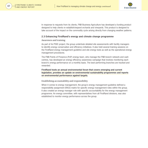

In response to requests from its clients, FNB Business Agriculture has developed a funding product designed to help clients re-establish/expand orchards and vineyards. This product is designed to take account of the impact on the commodity cycle arising directly from changing weather patterns.

## 2.3 Enhancing FirstRand's energy and climate change programme

#### Awareness and training

As part of its PSEE project, the group undertook detailed site assessments with facility managers to identify energy conservation and efficiency initiatives. It also held several training sessions on the FirstRand energy management guideline and site energy tools as well as the operational energy management procedures.

The FNB Points of Presence (PoP) energy team, who manage the FNB branch network and cash centres, has developed an energy efficiency awareness campaign that involves monitoring each branch's energy performance on a monthly basis. The best-performing branches are tracked and rewarded.

## FirstRand hosts an annual environmental forum that covers emerging and current legislation, provides an update on environmental sustainability programmes and reports on environmental performance against targets.

## Establishing accountability and responsibility

When it comes to energy management, the group's energy management guideline defined a responsibility assignment (RACI) matrix for specific energy management roles within the group. It also created an energy manager role with specific accountability for the energy management programme. An energy committee, with representatives from all FirstRand divisions, was also established to monitor energy performance across the group.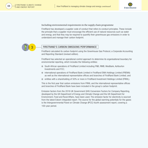



#### Including environmental requirements in the supply chain programme

FirstRand has developed a supplier code of conduct that refers to conduct principles. These include the principle that a supplier must encourage the efficient use of natural resources such as water and energy, and that they may be required to quantify their greenhouse gas emissions in order to understand and manage their carbon footprint.



## FIRSTRAND'S CARBON EMISSIONS PERFORMANCE

FirstRand calculated its carbon footprint using the Greenhouse Gas Protocol, a Corporate Accounting and Reporting Standard (revised edition).

FirstRand has selected an operational control approach to determine its organisational boundary for environmental reporting, which includes the following entities:

- ⊕ South African operations of FirstRand Limited including FNB, RMB, WesBank, Ashburton Investments and FCC;
- International operations of FirstRand Bank Limited in FirstRand EMA Holdings Limited (FREMA) as well as the international representative offices and branches of FirstRand Bank Limited; and
- $\odot$  entities with a shareholding of 50% or more in FirstRand Investment Holdings Limited (FRIHL).

This is the first year that carbon emissions from FRIHL and the international representative offices and branches of FirstRand Bank have been included in the group's carbon footprint.

Emission factors from the 2016 UK Government GHG Conversion Factors for Company Reporting, developed by the UK Department of Energy and Climate Change and the UK Department for Environment, Food and Rural Affairs, have been used. The emission factor for electricity is sourced from the latest Eskom integrated report. The source for the global warming potentials for the gases is the Intergovernmental Panel on Climate Change (IPCC) fourth assessment report, covering a 100-year period.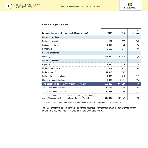

#### Greenhouse gas statement

| Carbon emissions (metric tonnes of CO <sub>2</sub> equivalents)                                                                 | 2016    | 2015    | $\frac{0}{0}$<br>change |
|---------------------------------------------------------------------------------------------------------------------------------|---------|---------|-------------------------|
| Scope 1 emissions                                                                                                               |         |         |                         |
| Fuel use in generators                                                                                                          | 157     | 997     | (84)                    |
| <b>Business fleet travel</b>                                                                                                    | 7098    | 7479    | (5)                     |
| Refrigerants                                                                                                                    | 2 5 6 6 | 1844    | 39                      |
| Scope 2 emissions                                                                                                               |         |         |                         |
| Electricity                                                                                                                     | 246 329 | 253 810 | (3)                     |
| Scope 3 emissions                                                                                                               |         |         |                         |
| Paper use                                                                                                                       | 2470    | 2 3 3 6 | 6                       |
| Business travel (road)                                                                                                          | 5627    | 11 287  | (50)                    |
| Business travel (air)                                                                                                           | 12 873  | 12 627  | 2                       |
| Fuel well-to-tank emissions                                                                                                     | 1 4 3 9 | 1 743   | (17)                    |
| Electricity transmission losses                                                                                                 | 2 4 3 9 | 9857    | (75)                    |
| Total carbon emissions South African operationsLA                                                                               | 280 998 | 301 980 | (7)                     |
| Total carbon emissions (international operations)                                                                               | 17696   | 14 746  | 20                      |
| Total carbon emissions (FRIHL)                                                                                                  | 12 235  | 14 745  | (17)                    |
| Total carbon emissions for all operations including South Africa,<br>rest of Africa and FirstRand Investment Holdings (Pty) Ltd | 310929  | 331 471 | (6)                     |

*LA External limited assurance provided over total carbon emissions for the South African operations.*

The carbon footprint for FirstRand's South African operations represents 90% of the group's total carbon footprint and has been subject to external limited assurance by KPMG.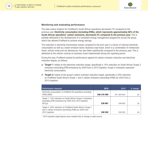

#### Monitoring and evaluating performance

The total carbon footprint for FirstRand's South African operations decreased 7% compared to the previous year. Electricity consumption (including ATMs), which represents approximately 88% of the South African operations' carbon emissions, decreased 3% compared to the previous year. This is partially attributed to the development of a consistent energy management programme across the group, which has allowed FirstRand to achieve energy savings.

The reduction in electricity transmission losses compared to the prior year is a factor of reduced electricity consumption as well as a lower emission factor. Business road travel, which is a combination of reimbursed travel, vehicle rental and car allowances, has also fallen significantly compared to the previous year. This is attributed to the stricter controls on business travel implemented during the reporting period.

During the year, FirstRand tracked its performance against its carbon emission reduction and electricity reduction targets, as follows:

- ⊕ Target 1 relates to the electricity reduction target, specifically a 15% reduction on South African Scope 2 emissions (excluding ATM emissions) by 2020 from a 2015 baseline. Scope 2 emissions represent electricity consumption;
- $\odot$  Target 2 relates to the group's carbon emission reduction target, specifically a 20% reduction on FirstRand South Africa's Scope 1 and 2 carbon emissions (excluding ATMs) by 2020 from a 2015 baseline.

| Performance measure                                                                                                                        | 2016        | $2015*$     | % change |
|--------------------------------------------------------------------------------------------------------------------------------------------|-------------|-------------|----------|
| Electricity consumption in FirstRand SA operations excluding<br>ATMs (KWh)                                                                 | 236 318 465 | 241 364 655 |          |
| Target 1: 15% reduction on South African Scope 2 emissions<br>(excluding ATM emissions) by 2020 from 2015 baseline<br>(tCO <sub>2</sub> e) | 238 681     | 248 605     | (4       |
| Target 2: 20% reduction on FirstRand South Africa's Scope 1<br>and 2 carbon emissions (excluding ATMs) by 2020 from<br>2015 baseline       | 248 502     | 258 925     | 14       |

*\* 2015 baseline target figures were restated due to change in data source.*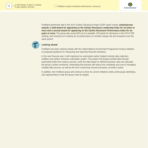



FirstRand performed well in the 2015 Carbon Disclosure Project (CDP) report results, **achieving two** awards: a Gold Award for appearing on the Carbon Disclosure Leadership Index for six years or more and a second award for appearing on the Carbon Disclosure Performance Index for six years or more. The group also scored 99 out of a possible 100 points for disclosure in the 2015 CDP ranking, and received an A ranking for its performance on climate change risk and emissions over the same period.



## Looking ahead

FirstRand has been working closely with the United Nations Environment Programme Finance Initiative on proposed guidance for measuring and reporting financed emissions.

In the next financial year, it will implement an automated carbon footprint activity data collection, collation and carbon emissions calculation system. This system will acquire activity data through automated feeds from various sources, verify the data based on defined business rules and calculate the group's carbon emissions. Automating this process will reduce the complexity and cost of managing multiple data sources, as well as the time-consuming manual processes currently in place.

In addition, the FirstRand group will continue to drive its current initiatives while continuously identifying new opportunities to help the group meet its targets.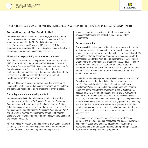



## INDEPENDENT ASSURANCE PROVIDER'S LIMITED ASSURANCE REPORT ON THE GREENHOUSE GAS (GHG) STATEMENT

## To the directors of FirstRand Limited

We have undertaken a limited assurance engagement of the total carbon emissions data, marked with LA, disclosed in the GHG statement on page 9 in the FirstRand climate change and energy report for the year ended 30 June 2016 (the report). This engagement was conducted by a multidisciplinary team with relevant experience in carbon and sustainability assurance.

## FirstRand's responsibility for the GHG statement

The directors of FirstRand are responsible for the preparation of the GHG statement in accordance with the World Business Council for Sustainable Development/World Resources Institute Greenhouse Gas Reporting Guidelines. This responsibility includes the design, implementation and maintenance of internal controls relevant to the preparation of a GHG statement that is free from material misstatement, whether due to fraud or error.

GHG quantification is subject to inherent uncertainty because of incomplete scientific knowledge used to determine emissions factors and the values needed to combine emissions of different gases.

## Our independence and quality control

We have complied with the independence and all other ethical requirements of the Code of Professional Conduct for Registered Auditors issued by the Independent Regulatory Board for Auditors (IRBA) that is consistent with the International Ethics Standards Board for Accountants Code of Ethics for Professional Accountants (Part A and B), which is founded on fundamental principles of integrity, objectivity, professional competence and due care, confidentiality and professional behaviour.

KPMG Services Proprietary Limited applies the International Standard on Quality Control 1 and accordingly maintains a comprehensive system of quality control including documented policies and

procedures regarding compliance with ethical requirements, professional standards and applicable legal and regulatory requirements.

## Our responsibility

Our responsibility is to express a limited assurance conclusion on the total carbon emissions data contained in the report, based on the procedures we have performed and the evidence we have obtained. We conducted our limited assurance engagement in accordance with the International Standard on Assurance Engagements 3410, Assurance Engagements on Greenhouse Gas Statements (ISAE 3410), issued by the International Auditing and Assurance Standards Board. That standard requires that we plan and perform this engagement to obtain limited assurance about whether the GHG statement is free from material misstatement.

A limited assurance engagement undertaken in accordance with ISAE 3410 involves assessing the suitability in the circumstances of FirstRand's use of the World Business Council for Sustainable Development/World Resources Institute Greenhouse Gas Reporting Guidelines as the basis for the preparation of the GHG statement, assessing the risks of material misstatement of the GHG statement whether due to fraud or error, responding to the assessed risks as necessary in the circumstances, and evaluating the overall presentation of the GHG statement. A limited assurance engagement is substantially less in scope than a reasonable assurance engagement in relation to both the risk assessment procedures, including an understanding of internal control, and the procedures performed in response to the assessed risks.

The procedures we performed were based on our professional judgment and included inquiries, observation of processes performed, inspection of documents, analytical procedures, evaluating the appropriateness of quantification methods and reporting policies, and agreeing or reconciling with underlying records.